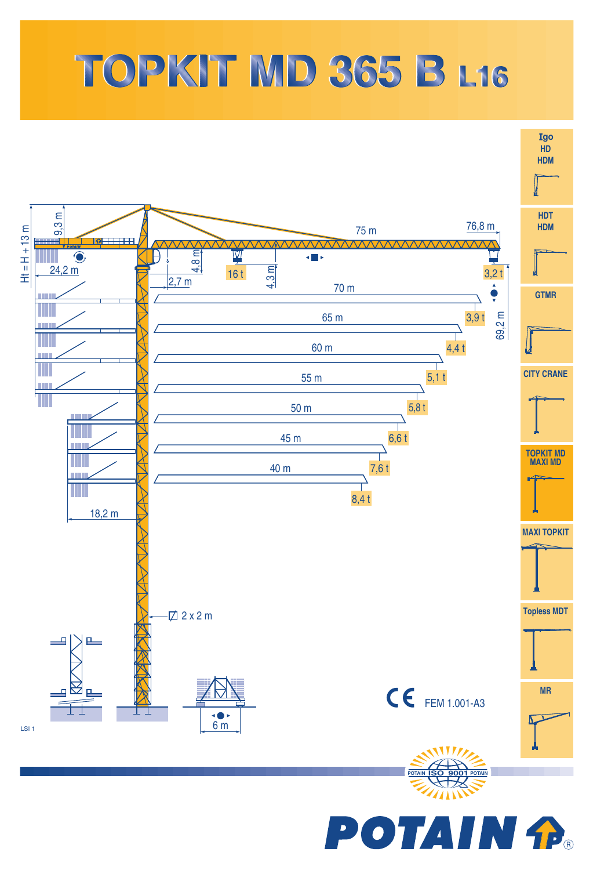## TOPKIT MD 365 B L16



POTAIN <del>P</del>.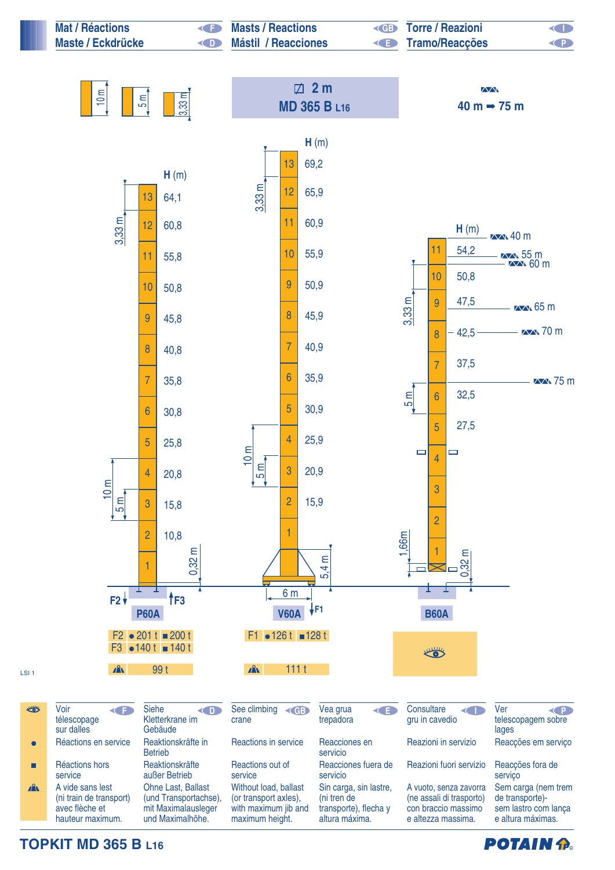

**TOPKIT MD 365 B L16**

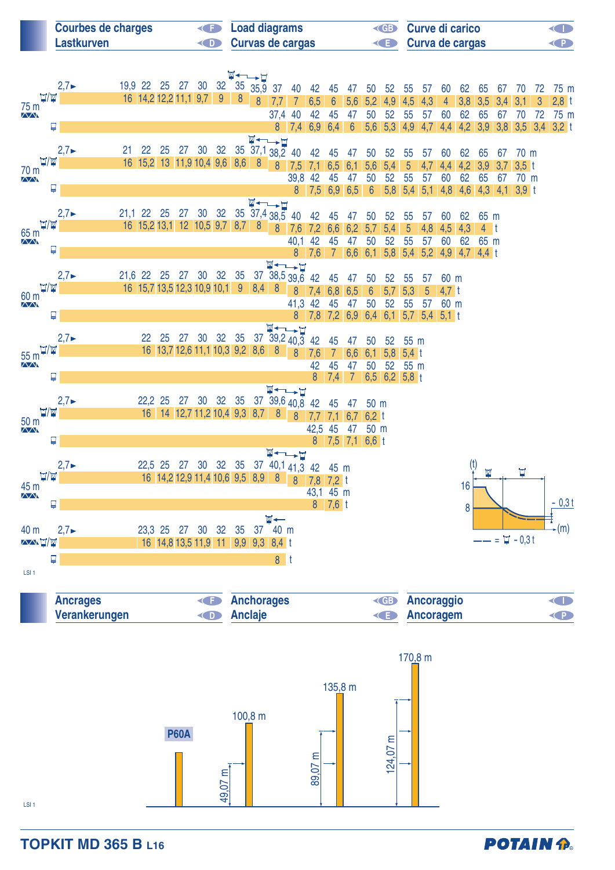| <b>Courbes de charges</b> | <b>Example 2</b> Load diagrams | <b>Example 3 Curve di carico</b> | <b>KID</b> |
|---------------------------|--------------------------------|----------------------------------|------------|
| Lastkurven                | <b>Curvas de cargas</b>        | <b>E</b> Curva de cargas         | $\left($ P |
|                           |                                |                                  |            |

|                                      |                           |                     |            |                                          |    |       |    | W-LF           |                                   |                  |                    |                      |                 |                  |     |             |                      |       |                             |                |               |                  |     |         |
|--------------------------------------|---------------------------|---------------------|------------|------------------------------------------|----|-------|----|----------------|-----------------------------------|------------------|--------------------|----------------------|-----------------|------------------|-----|-------------|----------------------|-------|-----------------------------|----------------|---------------|------------------|-----|---------|
|                                      | $2,7 \blacktriangleright$ | 19,9 22 25 27       |            |                                          | 30 | 32    |    | 35 35,9        | 37                                | 40               | 42                 | 45                   | 47              | 50               | 52  | 55          | 57                   | 60    | 62                          | 65             | 67            | 70               | 72  | 75 m    |
| $\Box/\mathbb{M}$                    |                           |                     |            | 16 14,2 12,2 11,1 9,7                    |    | 9     | 8  | $\overline{8}$ |                                   |                  | 6,5                | $6\phantom{a}$       | 5,6             | 5,2              | 4.9 | 4,5         | 4,3                  | 4     | 3,8                         | 3,5            | 3,4           | 3.1              | 3   | $2,8$ t |
| 75 m<br>$\sqrt{N}$                   |                           |                     |            |                                          |    |       |    |                | 37,4 40                           |                  | 42                 | 45                   | 47              | 50               | 52  | 55          | 57                   | 60    | 62                          | 65             | 67            | 70               | 72  | 75 m    |
| Ļ                                    |                           |                     |            |                                          |    |       |    |                |                                   | 8 7,4 6,9 6,4    |                    |                      | $6\overline{6}$ | 5,6              |     |             |                      |       | 5,3 4,9 4,7 4,4 4,2 3,9 3,8 |                |               | 3,5              | 3,4 | $3,2$ t |
|                                      |                           |                     |            |                                          |    |       |    |                | W←—–⊔                             |                  |                    |                      |                 |                  |     |             |                      |       |                             |                |               |                  |     |         |
|                                      | $2,7 \blacktriangleright$ | 21                  | 22<br>25   | 27                                       | 30 | 32    |    |                | $35$ $37,1$ $38,2$ 40             |                  | 42                 | 45                   | 47              | 50               | 52  | 55          | 57                   | 60    | 62                          | 65             | 67            | 70 m             |     |         |
| $\Box/\Box$<br>70 m                  |                           |                     |            | 16 15,2 13 11,9 10,4 9,6 8,6             |    |       |    | 8              | $\boldsymbol{8}$                  | 7,5              | 7,1                | 6,5                  | 6,1             | 5,6              | 5,4 | 5           | 4,7                  | 4,4   | 4.2                         | 3,9            | 3,7           | 3.5 <sub>1</sub> |     |         |
| $\sqrt{N}$                           |                           |                     |            |                                          |    |       |    |                |                                   | 39,8 42          |                    | 45                   | 47              | 50               | 52  | 55          | 57                   | 60    | 62                          | 65             | 67            | 70 m             |     |         |
| ₽                                    |                           |                     |            |                                          |    |       |    |                |                                   | $\overline{8}$   | $7,5$ 6,9 6,5      |                      |                 | $6\overline{6}$  | 5,8 | 5,4         | 5,1                  | 4,8   | 4,6                         | 4,3            | 4.1           | $3,9$ t          |     |         |
|                                      |                           |                     |            |                                          |    |       |    | $\mathbb{M}$ + | →Ħ                                |                  |                    |                      |                 |                  |     |             |                      |       |                             |                |               |                  |     |         |
| $\Box/\Box$                          | $2,7 \blacktriangleright$ | 21.1                | 22<br>25   | 27<br>16 15,2 13,1 12 10,5 9,7 8,7       | 30 | 32    |    |                | 35 37,4 38,5                      | 40               | 42                 | 45                   | 47              | 50               | 52  | 55          | 57                   | 60    | 62                          | 65 m           |               |                  |     |         |
| 65 <sub>m</sub>                      |                           |                     |            |                                          |    |       |    | 8              | $\overline{8}$                    | 7,6              | 7,2                | 6,6                  | 6,2             | 5,7              | 5,4 | 5           | 4,8                  | 4,5   | 4,3                         | 4 <sup>†</sup> |               |                  |     |         |
| $\sqrt{N}$<br>₽                      |                           |                     |            |                                          |    |       |    |                |                                   | 40,1             | 42                 | 45                   | 47              | 50               | 52  | 55          | 57                   | 60    | 62                          | 65 m           |               |                  |     |         |
|                                      |                           |                     |            |                                          |    |       |    |                |                                   |                  | $8 \overline{7.6}$ | $\overline{7}$       | 6,6             | 6,1              | 5,8 | 5,4         | 5.2                  | 4.9   | 4.7                         | $4,4$ t        |               |                  |     |         |
|                                      | $2,7 \blacktriangleright$ | 21,6 22 25 27 30 32 |            |                                          |    |       | 35 |                | W←→H<br>$37 \overline{)38,5}39,6$ |                  | 42                 |                      |                 | 50               | 52  |             |                      | 60 m  |                             |                |               |                  |     |         |
| ∐/™                                  |                           |                     |            | 16 15,7 13,5 12,3 10,9 10,1              |    |       | 9  | 8,4            | 8                                 | $\boldsymbol{8}$ | 7,4                | 45<br>6,8            | 47<br>6,5       | $6\phantom{a}$   | 5,7 | 55<br>5,3   | 57<br>$\overline{5}$ | 4,7 t |                             |                |               |                  |     |         |
| 60 m<br>$\sqrt{V}$                   |                           |                     |            |                                          |    |       |    |                |                                   | 41,3 42          |                    | 45                   | 47              | 50               | 52  | 55          | 57                   | 60 m  |                             |                |               |                  |     |         |
| Ų                                    |                           |                     |            |                                          |    |       |    |                |                                   | 8                |                    |                      |                 |                  |     | 5,7         | $5,4$ 5,1 t          |       |                             |                |               |                  |     |         |
|                                      |                           |                     |            |                                          |    |       |    |                | 真丈→☆                              |                  |                    |                      |                 |                  |     |             |                      |       |                             |                |               |                  |     |         |
|                                      | $2,7 \blacktriangleright$ |                     | 22<br>25   | 27                                       | 30 | 32    | 35 |                | $37\overline{39,2}40,3$           |                  | 42                 | 45                   | 47              | 50               | 52  | 55 m        |                      |       |                             |                |               |                  |     |         |
| $\Box/\mathbb{W}$<br>55 <sub>m</sub> |                           |                     |            | 16 13,7 12,6 11,1 10,3 9,2 8,6           |    |       |    |                | 8                                 | 8                | 7,6                | $\overline{7}$       | 6,6             | 6,1              | 5,8 | $5,4$ t     |                      |       |                             |                |               |                  |     |         |
| $\sqrt{N}$                           |                           |                     |            |                                          |    |       |    |                |                                   |                  | 42                 | 45                   | 47              | 50               | 52  | 55 m        |                      |       |                             |                |               |                  |     |         |
| ₽                                    |                           |                     |            |                                          |    |       |    |                |                                   |                  | 8                  | 7,4                  | 7               | 6,5              |     | $6,2$ 5,8 t |                      |       |                             |                |               |                  |     |         |
|                                      |                           |                     |            |                                          |    |       |    |                | W←→H                              |                  |                    |                      |                 |                  |     |             |                      |       |                             |                |               |                  |     |         |
|                                      | $2,7 \blacktriangleright$ |                     | 22,2<br>25 | 27                                       | 30 | 32    | 35 |                | 37 39,6 40,8 42                   |                  |                    | 45                   | 47              | 50 m             |     |             |                      |       |                             |                |               |                  |     |         |
| $\Box/\Box$<br>50 <sub>m</sub>       |                           |                     |            | 16 14 12,7 11,2 10,4 9,3 8,7 8 8         |    |       |    |                |                                   |                  | 7.7                | 7,1                  | 6,7             | 6.2 <sub>t</sub> |     |             |                      |       |                             |                |               |                  |     |         |
| $\sqrt{N}$                           |                           |                     |            |                                          |    |       |    |                |                                   |                  | 42,5 45            |                      | 47              | 50 m             |     |             |                      |       |                             |                |               |                  |     |         |
| ₽                                    |                           |                     |            |                                          |    |       |    |                |                                   |                  |                    |                      |                 | 8 7,5 7,1 6,6 t  |     |             |                      |       |                             |                |               |                  |     |         |
|                                      |                           |                     |            |                                          |    |       |    |                | W←–––⊔                            |                  |                    |                      |                 |                  |     |             |                      |       | (t)                         |                |               |                  |     |         |
| $\Box/\Box$                          | $2,7 \blacktriangleright$ |                     | 22,5 25    | 27                                       | 30 | 32 35 |    |                | $37 \t40,141.3$                   |                  | 42                 | 45 m                 |                 |                  |     |             |                      |       |                             | M              |               | Π                |     |         |
| 45 m                                 |                           |                     |            | 16 14,2 12,9 11,4 10,6 9,5 8,9           |    |       |    |                | 8                                 | $\mathbf{8}$     | 7,8                | $7,2$ t              |                 |                  |     |             |                      |       | 16                          |                |               |                  |     |         |
| $\sqrt{N}$                           |                           |                     |            |                                          |    |       |    |                |                                   |                  | 43,1 45 m          |                      |                 |                  |     |             |                      |       |                             |                |               |                  |     | $-0,3t$ |
| Ļ                                    |                           |                     |            |                                          |    |       |    |                |                                   |                  |                    | $8 \overline{7,6}$ t |                 |                  |     |             |                      |       | 8                           |                |               |                  |     |         |
|                                      |                           |                     |            |                                          |    |       |    |                | $M \leftarrow$                    |                  |                    |                      |                 |                  |     |             |                      |       |                             |                |               |                  |     | $-(m)$  |
| 40 m<br><b>AANT/W</b>                | $2,7 \blacktriangleright$ |                     | 23,3 25    | 27<br>16 14,8 13,5 11,9 11 9,9 9,3 8,4 t | 30 | 32    | 35 | 37             | 40 m                              |                  |                    |                      |                 |                  |     |             |                      |       |                             |                | $= 24 - 0.3t$ |                  |     |         |
|                                      |                           |                     |            |                                          |    |       |    |                |                                   |                  |                    |                      |                 |                  |     |             |                      |       |                             |                |               |                  |     |         |
| ₽                                    |                           |                     |            |                                          |    |       |    |                | 8 <sup>†</sup>                    |                  |                    |                      |                 |                  |     |             |                      |       |                             |                |               |                  |     |         |
| LSI <sub>1</sub>                     |                           |                     |            |                                          |    |       |    |                |                                   |                  |                    |                      |                 |                  |     |             |                      |       |                             |                |               |                  |     |         |

| <b>Ancrages</b> | <b>E</b> Anchorages       | <b>EB</b> Ancoraggio |  |
|-----------------|---------------------------|----------------------|--|
| Verankerungen   | <b>Example 20 Anclaie</b> | <b>E</b> Ancoragem   |  |



LSI 1

**TOPKIT MD 365 B L16**

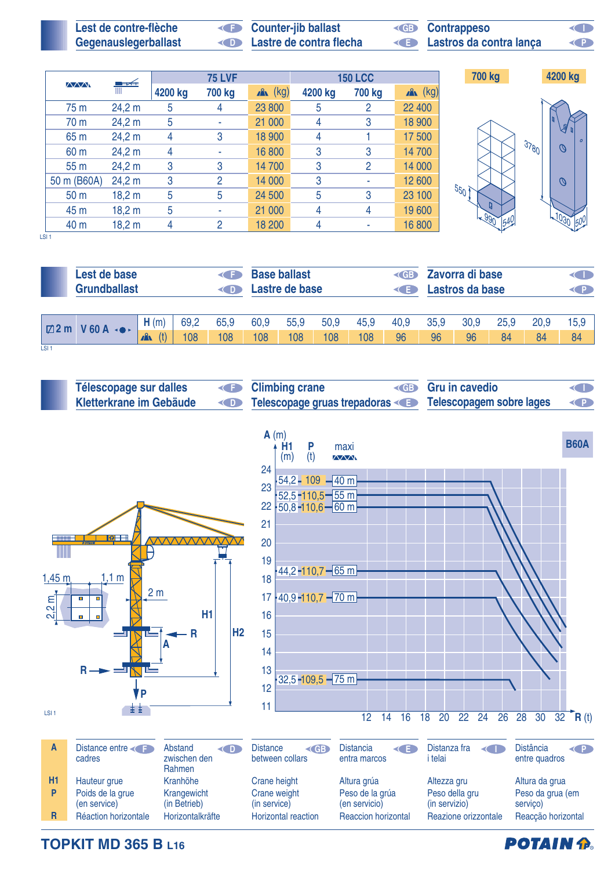| Lest de contre-flèche | <b>E</b> Counter-jib ballast             | <b>ED</b> Contrappeso   | ◁ ∥ |
|-----------------------|------------------------------------------|-------------------------|-----|
| Gegenauslegerballast  | <b>Example 2 Lastre de contra flecha</b> | Lastros da contra lança | Œ   |

**I**

| <b>AAAN</b>     | ▀▀     |         | <b>75 LVF</b>  |            |         | <b>150 LCC</b> |            | 700 kg          | 4200 kg         |
|-----------------|--------|---------|----------------|------------|---------|----------------|------------|-----------------|-----------------|
|                 | Ш      | 4200 kg | 700 kg         | $x^2$ (kg) | 4200 kg | 700 kg         | $x^2$ (kg) |                 |                 |
| 75 m            | 24,2 m | 5       | 4              | 23 800     | 5       | $\overline{2}$ | 22 400     |                 |                 |
| 70 m            | 24,2 m | 5       | ٠              | 21 000     | 4       | 3              | 18 900     |                 | J               |
| 65 m            | 24,2 m | 4       | 3              | 18 900     | 4       |                | 17 500     |                 | $\overline{a}$  |
| 60 m            | 24,2 m | 4       | ٠              | 16 800     | 3       | 3              | 14 700     | 37801           | $\mathcal{O}$   |
| 55 <sub>m</sub> | 24,2 m | 3       | 3              | 14 700     | 3       | $\overline{2}$ | 14 000     |                 |                 |
| 50 m (B60A)     | 24,2 m | 3       | $\overline{2}$ | 14 000     | 3       |                | 12 600     |                 | $\mathcal{O}$   |
| 50 <sub>m</sub> | 18,2 m | 5       | 5              | 24 500     | 5       | 3              | 23 100     | 55 <sub>0</sub> |                 |
| 45 m            | 18,2 m | 5       | ٠              | 21 000     | 4       | 4              | 19 600     |                 |                 |
| 40 m            | 18,2 m | 4       | $\overline{2}$ | 18 200     | 4       |                | 16 800     | 164U            | 50 <sup>0</sup> |

 $\overline{1}$  SI 1

|                  | Lest de base<br>≺⊂<br><b>Grundballast</b><br><( D ) |                     |      |      |      | <b>Base ballast</b><br>Lastre de base |      |      | $\left($ GB $\right)$<br><( E E | Zavorra di base<br><b>CHD</b><br>Lastros da base<br>$\left( 1\right)$ |      |      |      |      |  |
|------------------|-----------------------------------------------------|---------------------|------|------|------|---------------------------------------|------|------|---------------------------------|-----------------------------------------------------------------------|------|------|------|------|--|
|                  | $\boxtimes$ 2 m V 60 A $\rightarrow$                | H(m)                | 69,2 | 65,9 | 60,9 | 55,9                                  | 50,9 | 45,9 | 40,9                            | 35,9                                                                  | 30,9 | 25,9 | 20,9 | 15.9 |  |
|                  |                                                     | (t)<br>$\mathbf{A}$ | 108  | 108  | 108  | 108                                   | 108  | 108  | 96                              | 96                                                                    | 96   | 84   | 84   | 84   |  |
| LSI <sub>1</sub> |                                                     |                     |      |      |      |                                       |      |      |                                 |                                                                       |      |      |      |      |  |



**TOPKIT MD 365 B L16**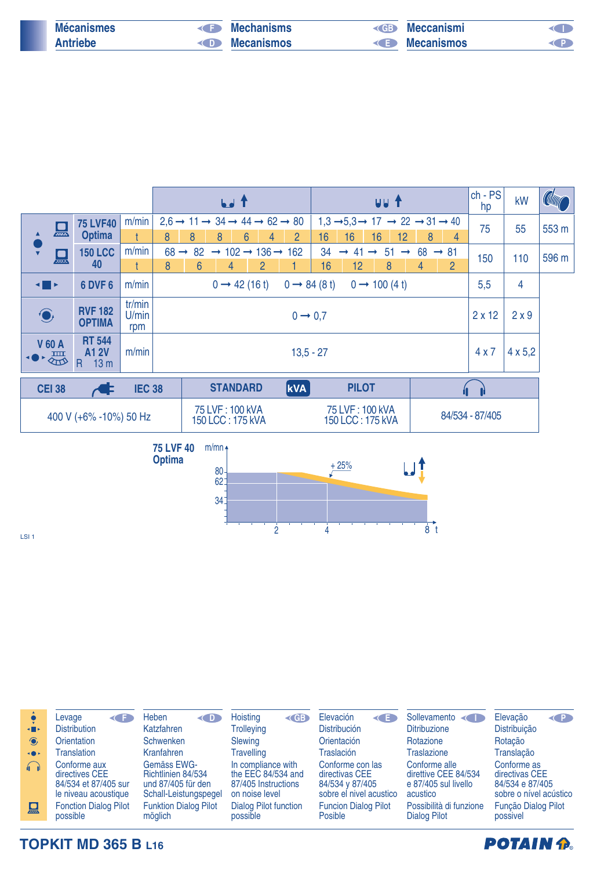| <b>Mécanismes</b> | $\left( \begin{array}{c} 1 \\ 2 \end{array} \right)$ | Mechanisms | $\left($ GB | Meccanismi        |  |
|-------------------|------------------------------------------------------|------------|-------------|-------------------|--|
| <b>Antriebe</b>   | $\bigcap$                                            | Mecanismos | <b>KED</b>  | <b>Mecanismos</b> |  |

|                                                                                                                             |               |                                                       |                        |                  |    | <b>bed</b> T                                                                     |                |                     |                                 |                     |              |               | uu t                      |               |                                                                                   |                  | $ch - PS$<br>hp | kW             | <b>Column</b> |
|-----------------------------------------------------------------------------------------------------------------------------|---------------|-------------------------------------------------------|------------------------|------------------|----|----------------------------------------------------------------------------------|----------------|---------------------|---------------------------------|---------------------|--------------|---------------|---------------------------|---------------|-----------------------------------------------------------------------------------|------------------|-----------------|----------------|---------------|
|                                                                                                                             |               | <b>75 LVF40</b>                                       | m/min                  |                  |    | $2.6 \rightarrow 11 \rightarrow 34 \rightarrow 44 \rightarrow 62 \rightarrow 80$ |                |                     |                                 |                     |              |               |                           |               | $1,3 \rightarrow 5,3 \rightarrow 17 \rightarrow 22 \rightarrow 31 \rightarrow 40$ |                  | 75              | 55             | 553 m         |
|                                                                                                                             | 墨             | <b>Optima</b>                                         |                        | 8                | 8  | 8                                                                                | 6              | $\overline{2}$<br>4 | 16                              |                     | 16           | 16            | 12 <sup>2</sup>           |               | 8                                                                                 | 4                |                 |                |               |
|                                                                                                                             | 밆             | <b>150 LCC</b>                                        | m/min                  | $68 \rightarrow$ | 82 | $\rightarrow$ 102 $\rightarrow$ 136 $\rightarrow$ 162                            |                |                     |                                 | 34<br>$\rightarrow$ | -41          | $\rightarrow$ | 51                        | $\rightarrow$ | 68                                                                                | $\rightarrow 81$ | 150             | 110            | 596 m         |
|                                                                                                                             |               | 40                                                    |                        | 8                | 6  | 4                                                                                | $\overline{2}$ |                     |                                 | 16                  | 12           |               | 8                         |               | 4                                                                                 | $\overline{2}$   |                 |                |               |
| $\begin{array}{c} \begin{array}{ c} \hline \hline \hline \hline \hline \hline \hline \hline \hline \end{array} \end{array}$ |               | 6 DVF 6                                               | m/min                  |                  |    | $0 \rightarrow 42(16 \text{ t})$                                                 |                |                     | $0 \rightarrow 84(8 \text{ t})$ |                     |              |               | $0 \rightarrow 100 (4 t)$ |               |                                                                                   |                  | 5,5             | 4              |               |
| $\bigodot$                                                                                                                  |               | <b>RVF 182</b><br><b>OPTIMA</b>                       | tr/min<br>U/min<br>rpm |                  |    |                                                                                  |                |                     | $0 \rightarrow 0.7$             |                     |              |               |                           |               |                                                                                   |                  | $2 \times 12$   | 2x9            |               |
| ◆●                                                                                                                          | <b>V 60 A</b> | <b>RT 544</b><br><b>A1 2V</b><br>13 <sub>m</sub><br>R | m/min                  |                  |    |                                                                                  |                |                     | $13,5 - 27$                     |                     |              |               |                           |               |                                                                                   |                  | 4x7             | $4 \times 5,2$ |               |
|                                                                                                                             | <b>CEI 38</b> |                                                       | <b>IEC 38</b>          |                  |    | <b>STANDARD</b>                                                                  |                | <b>kVA</b>          |                                 |                     | <b>PILOT</b> |               |                           |               |                                                                                   |                  |                 |                |               |
| 75 LVF: 100 kVA<br>75 LVF: 100 kVA<br>400 V (+6% -10%) 50 Hz<br>150 LCC: 175 kVA<br>150 LCC: 175 kVA                        |               |                                                       |                        |                  |    |                                                                                  |                |                     | 84/534 - 87/405                 |                     |              |               |                           |               |                                                                                   |                  |                 |                |               |



LSI 1

|                | Levage<br>≺⊂                                                                   | Heben<br>$\left($ D                                                              | Hoisting<br>$\triangle$ GB                                                        | Elevación<br>K                                                                   | Sollevamento                                                              | Elevação<br>$\left( 0 \right)$                                             |
|----------------|--------------------------------------------------------------------------------|----------------------------------------------------------------------------------|-----------------------------------------------------------------------------------|----------------------------------------------------------------------------------|---------------------------------------------------------------------------|----------------------------------------------------------------------------|
| $\blacksquare$ | <b>Distribution</b>                                                            | Katzfahren                                                                       | <b>Trolleying</b>                                                                 | <b>Distribución</b>                                                              | <b>Ditribuzione</b>                                                       | Distribuição                                                               |
| $\odot$        | Orientation                                                                    | <b>Schwenken</b>                                                                 | Slewing                                                                           | Orientación                                                                      | Rotazione                                                                 | Rotação                                                                    |
| $\rightarrow$  | <b>Translation</b>                                                             | Kranfahren                                                                       | <b>Travelling</b>                                                                 | Traslación                                                                       | <b>Traslazione</b>                                                        | Translação                                                                 |
| $\bigcap$      | Conforme aux<br>directives CEE<br>84/534 et 87/405 sur<br>le niveau acoustique | Gemäss EWG-<br>Richtlinien 84/534<br>und 87/405 für den<br>Schall-Leistungspegel | In compliance with<br>the EEC 84/534 and<br>87/405 Instructions<br>on noise level | Conforme con las<br>directivas CEE<br>84/534 y 87/405<br>sobre el nivel acustico | Conforme alle<br>direttive CEE 84/534<br>e 87/405 sul livello<br>acustico | Conforme as<br>directivas CEE<br>84/534 e 87/405<br>sobre o nível acústico |
| 只              | <b>Fonction Dialog Pilot</b><br>possible                                       | <b>Funktion Dialog Pilot</b><br>möglich                                          | <b>Dialog Pilot function</b><br>possible                                          | <b>Funcion Dialog Pilot</b><br><b>Posible</b>                                    | Possibilità di funzione<br><b>Dialog Pilot</b>                            | Função Dialog Pilot<br>possivel                                            |

**TOPKIT MD 365 B L16**